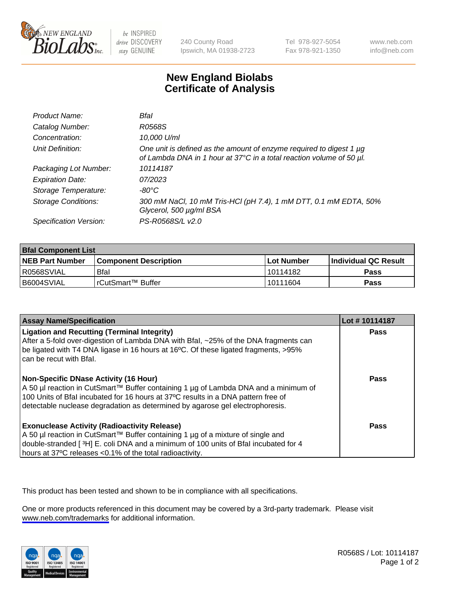

be INSPIRED drive DISCOVERY stay GENUINE

240 County Road Ipswich, MA 01938-2723 Tel 978-927-5054 Fax 978-921-1350

www.neb.com info@neb.com

## **New England Biolabs Certificate of Analysis**

| Product Name:           | Bfal                                                                                                                                             |
|-------------------------|--------------------------------------------------------------------------------------------------------------------------------------------------|
| Catalog Number:         | R0568S                                                                                                                                           |
| Concentration:          | 10,000 U/ml                                                                                                                                      |
| Unit Definition:        | One unit is defined as the amount of enzyme required to digest 1 $\mu$ g<br>of Lambda DNA in 1 hour at 37°C in a total reaction volume of 50 µl. |
| Packaging Lot Number:   | 10114187                                                                                                                                         |
| <b>Expiration Date:</b> | 07/2023                                                                                                                                          |
| Storage Temperature:    | -80°C                                                                                                                                            |
| Storage Conditions:     | 300 mM NaCl, 10 mM Tris-HCl (pH 7.4), 1 mM DTT, 0.1 mM EDTA, 50%<br>Glycerol, 500 µg/ml BSA                                                      |
| Specification Version:  | PS-R0568S/L v2.0                                                                                                                                 |

| <b>Bral Component List</b> |                              |              |                             |  |
|----------------------------|------------------------------|--------------|-----------------------------|--|
| <b>NEB Part Number</b>     | <b>Component Description</b> | l Lot Number | <b>Individual QC Result</b> |  |
| R0568SVIAL                 | Bfal                         | l 10114182   | <b>Pass</b>                 |  |
| B6004SVIAL                 | l rCutSmart™ Buffer          | 10111604     | Pass                        |  |

| <b>Assay Name/Specification</b>                                                                                                                                                                                                                                                                           | Lot #10114187 |
|-----------------------------------------------------------------------------------------------------------------------------------------------------------------------------------------------------------------------------------------------------------------------------------------------------------|---------------|
| <b>Ligation and Recutting (Terminal Integrity)</b><br>After a 5-fold over-digestion of Lambda DNA with Bfal, ~25% of the DNA fragments can<br>be ligated with T4 DNA ligase in 16 hours at 16°C. Of these ligated fragments, >95%<br>can be recut with Bfal.                                              | Pass          |
| <b>Non-Specific DNase Activity (16 Hour)</b><br>A 50 µl reaction in CutSmart™ Buffer containing 1 µg of Lambda DNA and a minimum of<br>100 Units of Bfal incubated for 16 hours at 37°C results in a DNA pattern free of<br>detectable nuclease degradation as determined by agarose gel electrophoresis. | Pass          |
| <b>Exonuclease Activity (Radioactivity Release)</b><br>  A 50 µl reaction in CutSmart™ Buffer containing 1 µg of a mixture of single and<br>double-stranded [3H] E. coli DNA and a minimum of 100 units of Bfal incubated for 4<br>hours at 37°C releases <0.1% of the total radioactivity.               | Pass          |

This product has been tested and shown to be in compliance with all specifications.

One or more products referenced in this document may be covered by a 3rd-party trademark. Please visit <www.neb.com/trademarks>for additional information.